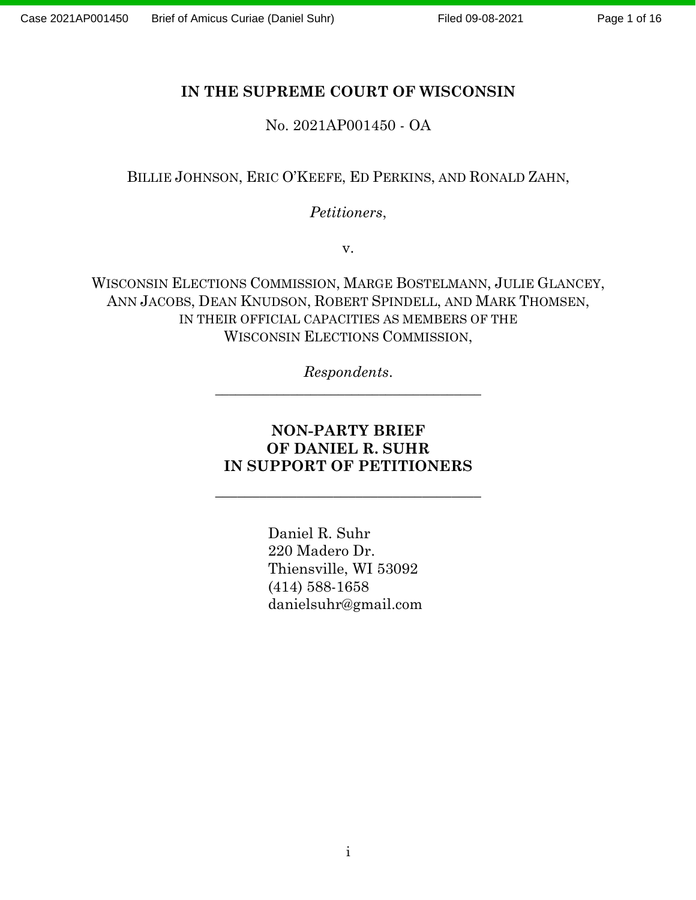## **IN THE SUPREME COURT OF WISCONSIN**

No. 2021AP001450 - OA

BILLIE JOHNSON, ERIC O'KEEFE, ED PERKINS, AND RONALD ZAHN,

*Petitioners*,

v.

WISCONSIN ELECTIONS COMMISSION, MARGE BOSTELMANN, JULIE GLANCEY, ANN JACOBS, DEAN KNUDSON, ROBERT SPINDELL, AND MARK THOMSEN, IN THEIR OFFICIAL CAPACITIES AS MEMBERS OF THE WISCONSIN ELECTIONS COMMISSION,

> *Respondents*. \_\_\_\_\_\_\_\_\_\_\_\_\_\_\_\_\_\_\_\_\_\_\_\_\_\_\_\_\_\_\_\_\_\_\_\_\_\_\_

## **NON-PARTY BRIEF OF DANIEL R. SUHR IN SUPPORT OF PETITIONERS**

 $\overline{\phantom{a}}$  , and the set of the set of the set of the set of the set of the set of the set of the set of the set of the set of the set of the set of the set of the set of the set of the set of the set of the set of the s

Daniel R. Suhr 220 Madero Dr. Thiensville, WI 53092 (414) 588-1658 danielsuhr@gmail.com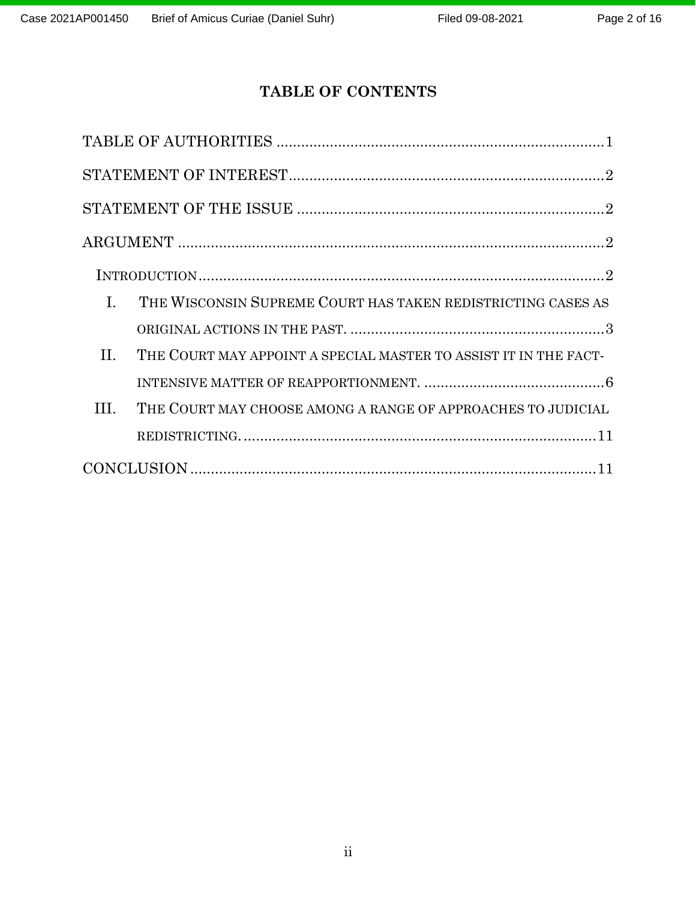# **TABLE OF CONTENTS**

| $\begin{minipage}{.4\linewidth} \textbf{STATEMENT OF INTEREST} \end{minipage} \begin{minipage}{.4\linewidth} \textbf{STATEMENT OF INTEREST} \end{minipage} \begin{minipage}{.4\linewidth} \textbf{STATEMENT OF INTEREST} \end{minipage} \begin{minipage}{.4\linewidth} \textbf{STATEMENT OF INTEREST} \end{minipage} \begin{minipage}{.4\linewidth} \textbf{ENT} \end{minipage} \begin{minipage}{.4\linewidth} \textbf{ENT} \end{minipage} \begin{minipage}{.4\linewidth} \textbf{ENT} \end{minipage} \begin{minipage}{.4\linewidth} \textbf{ENT} \end{minipage} \begin$ |
|--------------------------------------------------------------------------------------------------------------------------------------------------------------------------------------------------------------------------------------------------------------------------------------------------------------------------------------------------------------------------------------------------------------------------------------------------------------------------------------------------------------------------------------------------------------------------|
|                                                                                                                                                                                                                                                                                                                                                                                                                                                                                                                                                                          |
|                                                                                                                                                                                                                                                                                                                                                                                                                                                                                                                                                                          |
|                                                                                                                                                                                                                                                                                                                                                                                                                                                                                                                                                                          |
| THE WISCONSIN SUPREME COURT HAS TAKEN REDISTRICTING CASES AS<br>L.                                                                                                                                                                                                                                                                                                                                                                                                                                                                                                       |
|                                                                                                                                                                                                                                                                                                                                                                                                                                                                                                                                                                          |
| $\Pi$ .<br>THE COURT MAY APPOINT A SPECIAL MASTER TO ASSIST IT IN THE FACT-                                                                                                                                                                                                                                                                                                                                                                                                                                                                                              |
|                                                                                                                                                                                                                                                                                                                                                                                                                                                                                                                                                                          |
| III.<br>THE COURT MAY CHOOSE AMONG A RANGE OF APPROACHES TO JUDICIAL                                                                                                                                                                                                                                                                                                                                                                                                                                                                                                     |
|                                                                                                                                                                                                                                                                                                                                                                                                                                                                                                                                                                          |
|                                                                                                                                                                                                                                                                                                                                                                                                                                                                                                                                                                          |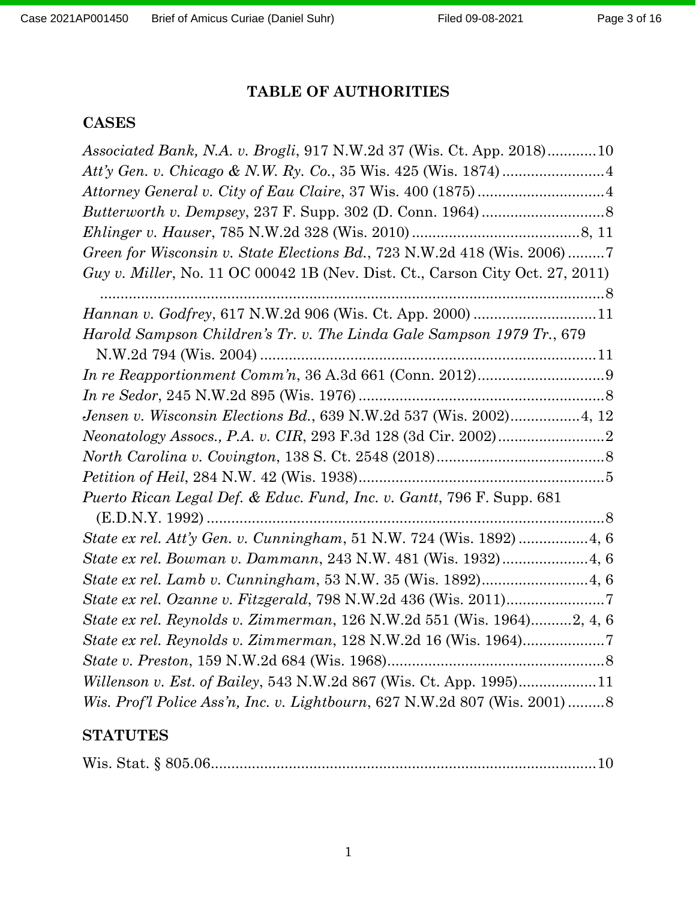## **TABLE OF AUTHORITIES**

## **CASES**

| <i>Associated Bank, N.A. v. Brogli, 917 N.W.2d 37 (Wis. Ct. App. 2018)10</i>          |
|---------------------------------------------------------------------------------------|
|                                                                                       |
|                                                                                       |
| <i>Butterworth v. Dempsey, 237 F. Supp. 302 (D. Conn. 1964)</i> 8                     |
|                                                                                       |
| Green for Wisconsin v. State Elections Bd., 723 N.W.2d 418 (Wis. 2006) 7              |
| Guy v. Miller, No. 11 OC 00042 1B (Nev. Dist. Ct., Carson City Oct. 27, 2011)         |
| Hannan v. Godfrey, 617 N.W.2d 906 (Wis. Ct. App. 2000) 11                             |
| Harold Sampson Children's Tr. v. The Linda Gale Sampson 1979 Tr., 679                 |
|                                                                                       |
| $In\,\,re\,\,Reapproximationment\,\,Comm\,in,\,36\,\,A.3d\,\,661\,\,(Conn.\,\,2012)9$ |
|                                                                                       |
|                                                                                       |
|                                                                                       |
|                                                                                       |
|                                                                                       |
| Puerto Rican Legal Def. & Educ. Fund, Inc. v. Gantt, 796 F. Supp. 681                 |
|                                                                                       |
| State ex rel. Att'y Gen. v. Cunningham, 51 N.W. 724 (Wis. 1892)  4, 6                 |
| State ex rel. Bowman v. Dammann, 243 N.W. 481 (Wis. 1932) 4, 6                        |
|                                                                                       |
|                                                                                       |
| State ex rel. Reynolds v. Zimmerman, 126 N.W.2d 551 (Wis. 1964)2, 4, 6                |
|                                                                                       |
|                                                                                       |
|                                                                                       |
| Wis. Prof'l Police Ass'n, Inc. v. Lightbourn, 627 N.W.2d 807 (Wis. 2001) 8            |
|                                                                                       |

## **STATUTES**

|--|--|--|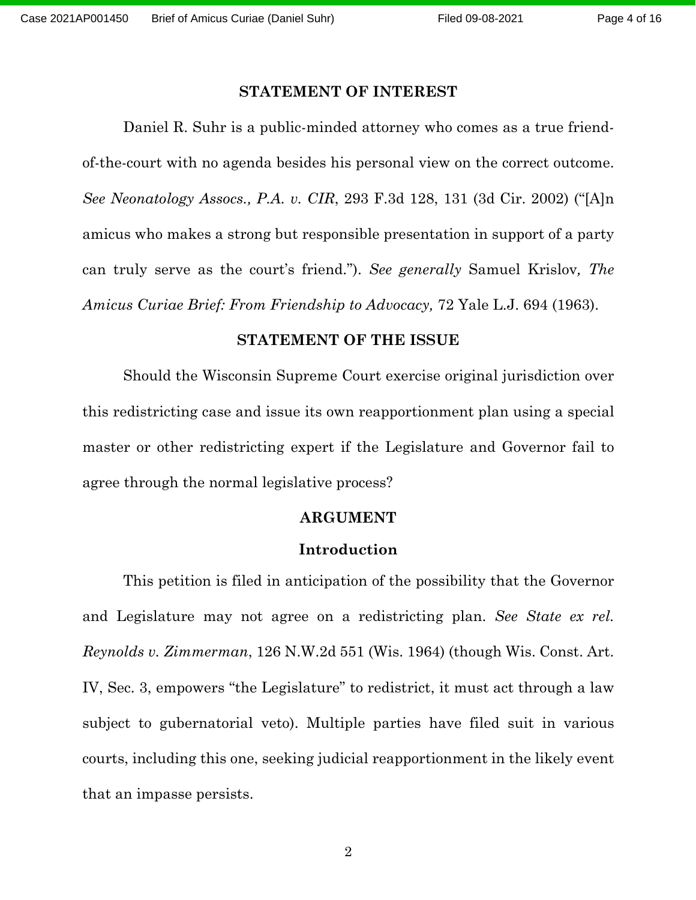#### **STATEMENT OF INTEREST**

Daniel R. Suhr is a public-minded attorney who comes as a true friendof-the-court with no agenda besides his personal view on the correct outcome. *See Neonatology Assocs., P.A. v. CIR*, 293 F.3d 128, 131 (3d Cir. 2002) ("[A]n amicus who makes a strong but responsible presentation in support of a party can truly serve as the court's friend."). *See generally* Samuel Krislov*, The Amicus Curiae Brief: From Friendship to Advocacy,* 72 Yale L.J. 694 (1963).

#### **STATEMENT OF THE ISSUE**

Should the Wisconsin Supreme Court exercise original jurisdiction over this redistricting case and issue its own reapportionment plan using a special master or other redistricting expert if the Legislature and Governor fail to agree through the normal legislative process?

#### **ARGUMENT**

#### **Introduction**

This petition is filed in anticipation of the possibility that the Governor and Legislature may not agree on a redistricting plan. *See State ex rel. Reynolds v. Zimmerman*, 126 N.W.2d 551 (Wis. 1964) (though Wis. Const. Art. IV, Sec. 3, empowers "the Legislature" to redistrict, it must act through a law subject to gubernatorial veto). Multiple parties have filed suit in various courts, including this one, seeking judicial reapportionment in the likely event that an impasse persists.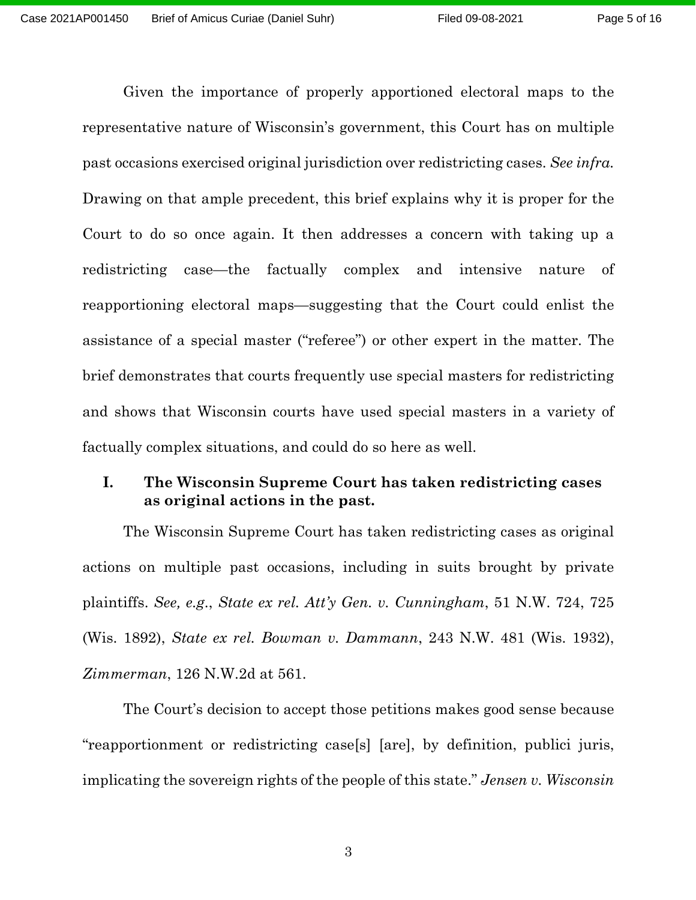Given the importance of properly apportioned electoral maps to the representative nature of Wisconsin's government, this Court has on multiple past occasions exercised original jurisdiction over redistricting cases. *See infra.* Drawing on that ample precedent, this brief explains why it is proper for the Court to do so once again. It then addresses a concern with taking up a redistricting case—the factually complex and intensive nature of reapportioning electoral maps—suggesting that the Court could enlist the assistance of a special master ("referee") or other expert in the matter. The brief demonstrates that courts frequently use special masters for redistricting and shows that Wisconsin courts have used special masters in a variety of factually complex situations, and could do so here as well.

### **I. The Wisconsin Supreme Court has taken redistricting cases as original actions in the past.**

The Wisconsin Supreme Court has taken redistricting cases as original actions on multiple past occasions, including in suits brought by private plaintiffs. *See, e.g*., *State ex rel. Att'y Gen. v. Cunningham*, 51 N.W. 724, 725 (Wis. 1892), *State ex rel. Bowman v. Dammann*, 243 N.W. 481 (Wis. 1932), *Zimmerman*, 126 N.W.2d at 561.

The Court's decision to accept those petitions makes good sense because "reapportionment or redistricting case[s] [are], by definition, publici juris, implicating the sovereign rights of the people of this state." *Jensen v. Wisconsin*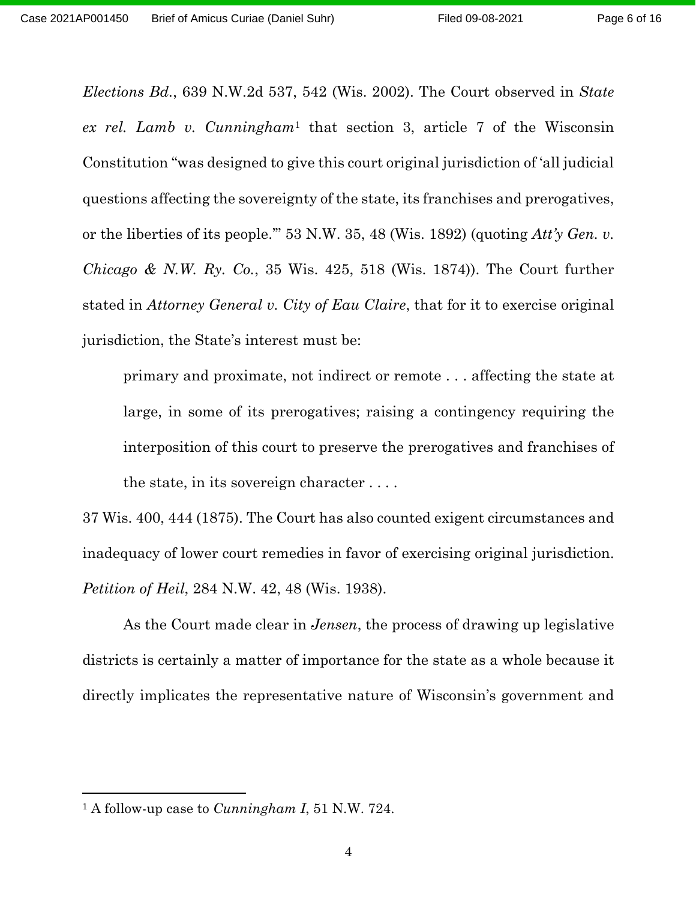*Elections Bd.*, 639 N.W.2d 537, 542 (Wis. 2002). The Court observed in *State ex rel. Lamb v. Cunningham*<sup>1</sup> that section 3, article 7 of the Wisconsin Constitution "was designed to give this court original jurisdiction of 'all judicial questions affecting the sovereignty of the state, its franchises and prerogatives, or the liberties of its people.'" 53 N.W. 35, 48 (Wis. 1892) (quoting *Att'y Gen. v. Chicago & N.W. Ry. Co.*, 35 Wis. 425, 518 (Wis. 1874)). The Court further stated in *Attorney General v. City of Eau Claire*, that for it to exercise original jurisdiction, the State's interest must be:

primary and proximate, not indirect or remote . . . affecting the state at large, in some of its prerogatives; raising a contingency requiring the interposition of this court to preserve the prerogatives and franchises of the state, in its sovereign character . . . .

37 Wis. 400, 444 (1875). The Court has also counted exigent circumstances and inadequacy of lower court remedies in favor of exercising original jurisdiction. *Petition of Heil*, 284 N.W. 42, 48 (Wis. 1938).

As the Court made clear in *Jensen*, the process of drawing up legislative districts is certainly a matter of importance for the state as a whole because it directly implicates the representative nature of Wisconsin's government and

<sup>1</sup> A follow-up case to *Cunningham I*, 51 N.W. 724.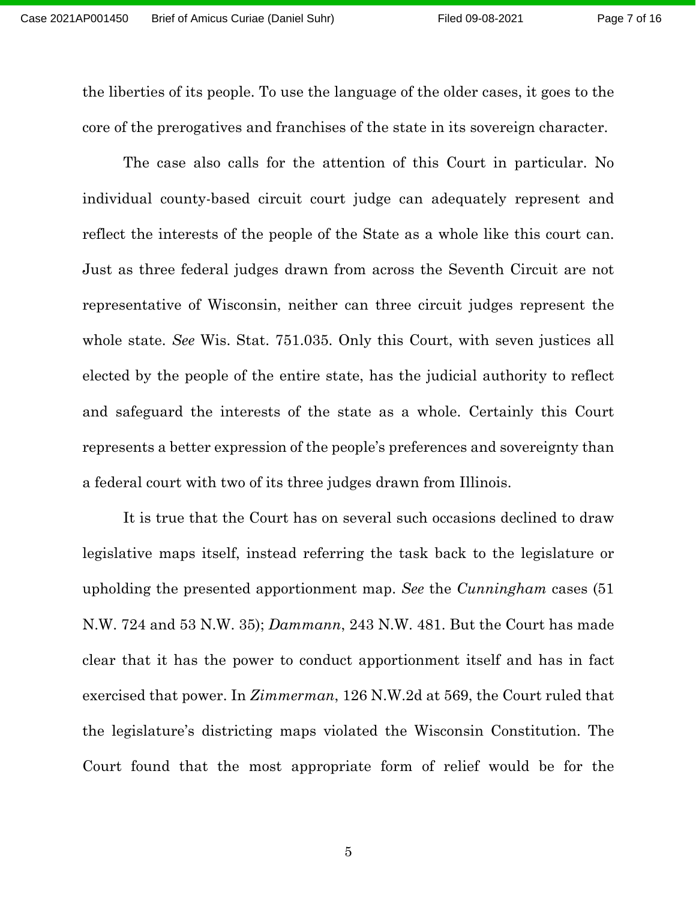the liberties of its people. To use the language of the older cases, it goes to the core of the prerogatives and franchises of the state in its sovereign character.

The case also calls for the attention of this Court in particular. No individual county-based circuit court judge can adequately represent and reflect the interests of the people of the State as a whole like this court can. Just as three federal judges drawn from across the Seventh Circuit are not representative of Wisconsin, neither can three circuit judges represent the whole state. *See* Wis. Stat. 751.035. Only this Court, with seven justices all elected by the people of the entire state, has the judicial authority to reflect and safeguard the interests of the state as a whole. Certainly this Court represents a better expression of the people's preferences and sovereignty than a federal court with two of its three judges drawn from Illinois.

It is true that the Court has on several such occasions declined to draw legislative maps itself, instead referring the task back to the legislature or upholding the presented apportionment map. *See* the *Cunningham* cases (51 N.W. 724 and 53 N.W. 35); *Dammann*, 243 N.W. 481. But the Court has made clear that it has the power to conduct apportionment itself and has in fact exercised that power. In *Zimmerman*, 126 N.W.2d at 569, the Court ruled that the legislature's districting maps violated the Wisconsin Constitution. The Court found that the most appropriate form of relief would be for the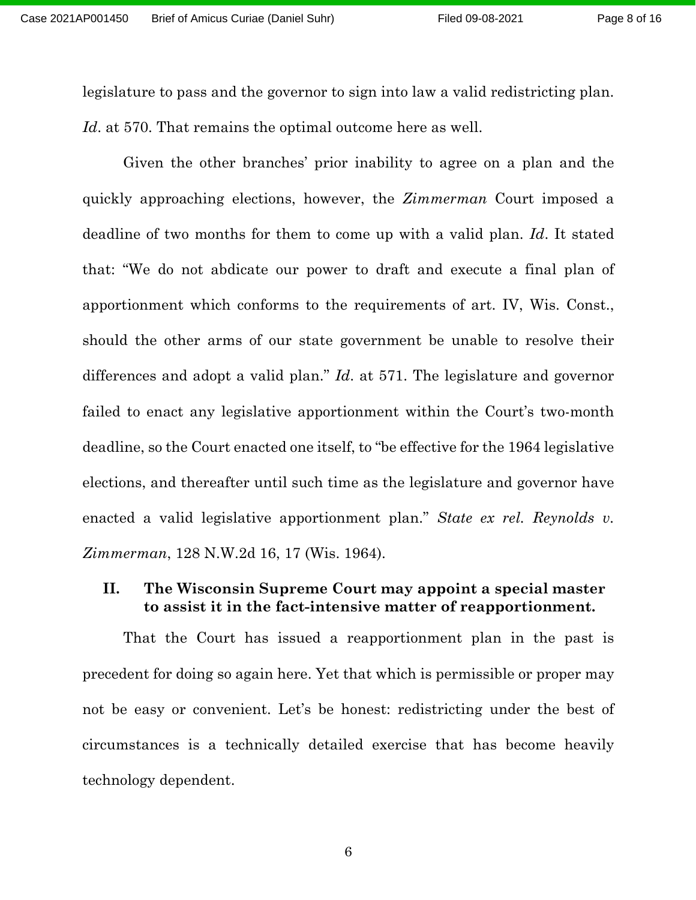legislature to pass and the governor to sign into law a valid redistricting plan.

*Id*. at 570. That remains the optimal outcome here as well.

Given the other branches' prior inability to agree on a plan and the quickly approaching elections, however, the *Zimmerman* Court imposed a deadline of two months for them to come up with a valid plan. *Id*. It stated that: "We do not abdicate our power to draft and execute a final plan of apportionment which conforms to the requirements of art. IV, Wis. Const., should the other arms of our state government be unable to resolve their differences and adopt a valid plan." *Id*. at 571. The legislature and governor failed to enact any legislative apportionment within the Court's two-month deadline, so the Court enacted one itself, to "be effective for the 1964 legislative elections, and thereafter until such time as the legislature and governor have enacted a valid legislative apportionment plan." *State ex rel. Reynolds v. Zimmerman*, 128 N.W.2d 16, 17 (Wis. 1964).

## **II. The Wisconsin Supreme Court may appoint a special master to assist it in the fact-intensive matter of reapportionment.**

That the Court has issued a reapportionment plan in the past is precedent for doing so again here. Yet that which is permissible or proper may not be easy or convenient. Let's be honest: redistricting under the best of circumstances is a technically detailed exercise that has become heavily technology dependent.

6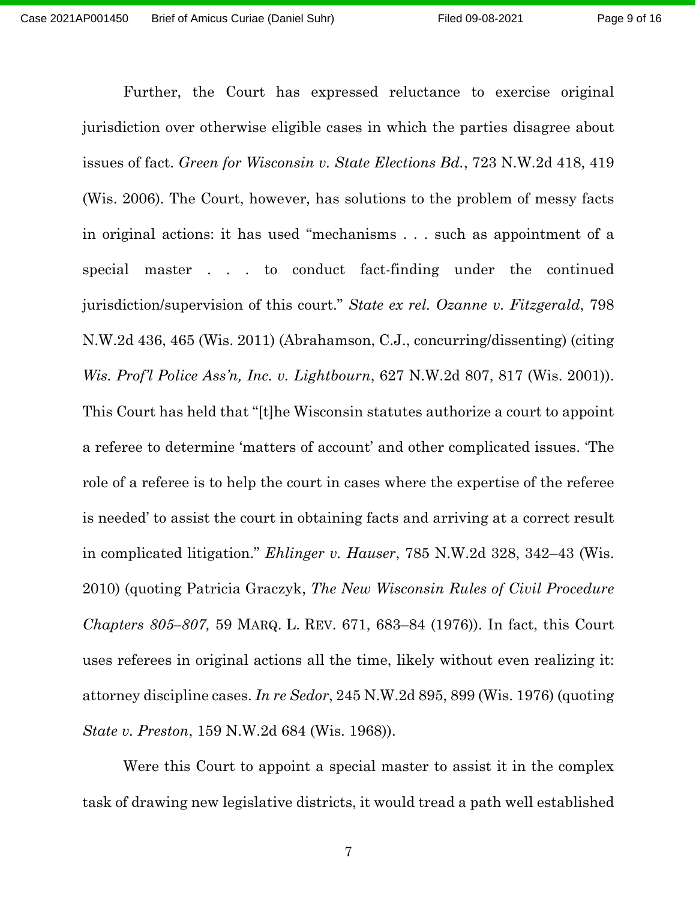Further, the Court has expressed reluctance to exercise original jurisdiction over otherwise eligible cases in which the parties disagree about issues of fact. *Green for Wisconsin v. State Elections Bd.*, 723 N.W.2d 418, 419 (Wis. 2006). The Court, however, has solutions to the problem of messy facts in original actions: it has used "mechanisms . . . such as appointment of a special master . . . to conduct fact-finding under the continued jurisdiction/supervision of this court." *State ex rel. Ozanne v. Fitzgerald*, 798 N.W.2d 436, 465 (Wis. 2011) (Abrahamson, C.J., concurring/dissenting) (citing *Wis. Prof'l Police Ass'n, Inc. v. Lightbourn*, 627 N.W.2d 807, 817 (Wis. 2001)). This Court has held that "[t]he Wisconsin statutes authorize a court to appoint a referee to determine 'matters of account' and other complicated issues. 'The role of a referee is to help the court in cases where the expertise of the referee is needed' to assist the court in obtaining facts and arriving at a correct result in complicated litigation." *Ehlinger v. Hauser*, 785 N.W.2d 328, 342–43 (Wis. 2010) (quoting Patricia Graczyk, *The New Wisconsin Rules of Civil Procedure Chapters 805–807,* 59 MARQ. L. REV. 671, 683–84 (1976)). In fact, this Court uses referees in original actions all the time, likely without even realizing it: attorney discipline cases. *In re Sedor*, 245 N.W.2d 895, 899 (Wis. 1976) (quoting *State v. Preston*, 159 N.W.2d 684 (Wis. 1968)).

Were this Court to appoint a special master to assist it in the complex task of drawing new legislative districts, it would tread a path well established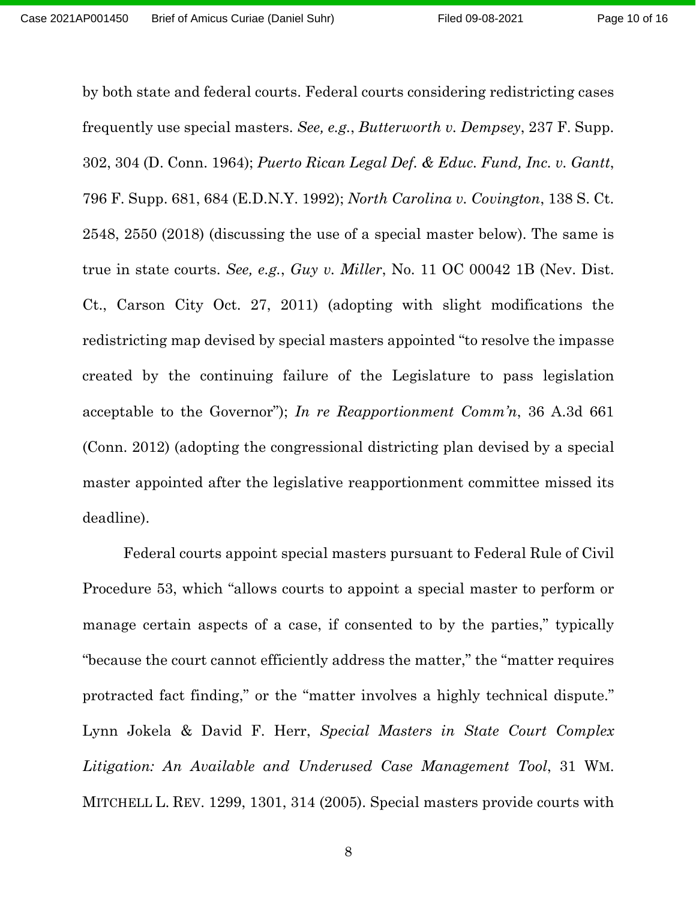by both state and federal courts. Federal courts considering redistricting cases frequently use special masters. *See, e.g.*, *Butterworth v. Dempsey*, 237 F. Supp. 302, 304 (D. Conn. 1964); *Puerto Rican Legal Def. & Educ. Fund, Inc. v. Gantt*, 796 F. Supp. 681, 684 (E.D.N.Y. 1992); *North Carolina v. Covington*, 138 S. Ct. 2548, 2550 (2018) (discussing the use of a special master below). The same is true in state courts. *See, e.g.*, *Guy v. Miller*, No. 11 OC 00042 1B (Nev. Dist. Ct., Carson City Oct. 27, 2011) (adopting with slight modifications the redistricting map devised by special masters appointed "to resolve the impasse created by the continuing failure of the Legislature to pass legislation acceptable to the Governor"); *In re Reapportionment Comm'n*, 36 A.3d 661 (Conn. 2012) (adopting the congressional districting plan devised by a special master appointed after the legislative reapportionment committee missed its deadline).

Federal courts appoint special masters pursuant to Federal Rule of Civil Procedure 53, which "allows courts to appoint a special master to perform or manage certain aspects of a case, if consented to by the parties," typically "because the court cannot efficiently address the matter," the "matter requires protracted fact finding," or the "matter involves a highly technical dispute." Lynn Jokela & David F. Herr, *Special Masters in State Court Complex Litigation: An Available and Underused Case Management Tool*, 31 WM. MITCHELL L. REV. 1299, 1301, 314 (2005). Special masters provide courts with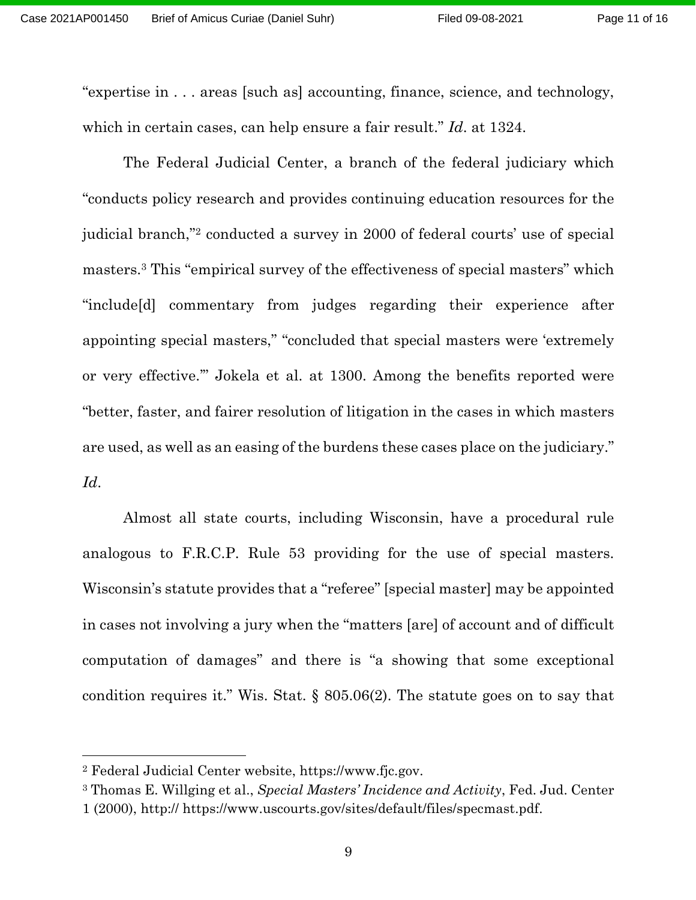"expertise in . . . areas [such as] accounting, finance, science, and technology, which in certain cases, can help ensure a fair result." *Id*. at 1324.

The Federal Judicial Center, a branch of the federal judiciary which "conducts policy research and provides continuing education resources for the judicial branch,"2 conducted a survey in 2000 of federal courts' use of special masters.3 This "empirical survey of the effectiveness of special masters" which "include[d] commentary from judges regarding their experience after appointing special masters," "concluded that special masters were 'extremely or very effective.'" Jokela et al. at 1300. Among the benefits reported were "better, faster, and fairer resolution of litigation in the cases in which masters are used, as well as an easing of the burdens these cases place on the judiciary." *Id*.

Almost all state courts, including Wisconsin, have a procedural rule analogous to F.R.C.P. Rule 53 providing for the use of special masters. Wisconsin's statute provides that a "referee" [special master] may be appointed in cases not involving a jury when the "matters [are] of account and of difficult computation of damages" and there is "a showing that some exceptional condition requires it." Wis. Stat. § 805.06(2). The statute goes on to say that

<sup>2</sup> Federal Judicial Center website, https://www.fjc.gov.

<sup>3</sup> Thomas E. Willging et al., *Special Masters' Incidence and Activity*, Fed. Jud. Center 1 (2000), http:// https://www.uscourts.gov/sites/default/files/specmast.pdf.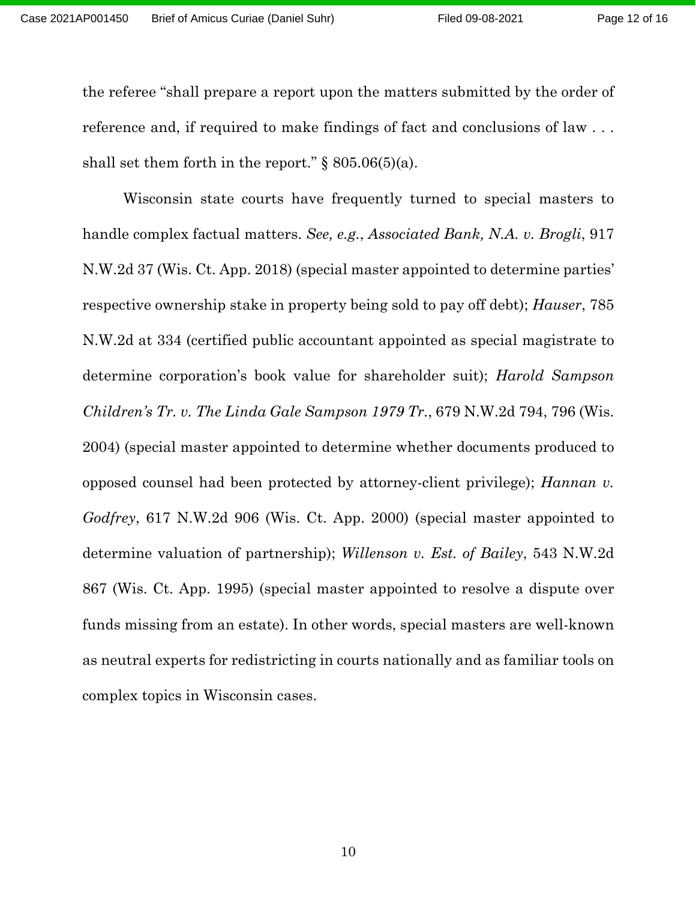the referee "shall prepare a report upon the matters submitted by the order of reference and, if required to make findings of fact and conclusions of law . . . shall set them forth in the report." § 805.06(5)(a).

Wisconsin state courts have frequently turned to special masters to handle complex factual matters. *See, e.g.*, *Associated Bank, N.A. v. Brogli*, 917 N.W.2d 37 (Wis. Ct. App. 2018) (special master appointed to determine parties' respective ownership stake in property being sold to pay off debt); *Hauser*, 785 N.W.2d at 334 (certified public accountant appointed as special magistrate to determine corporation's book value for shareholder suit); *Harold Sampson Children's Tr. v. The Linda Gale Sampson 1979 Tr.*, 679 N.W.2d 794, 796 (Wis. 2004) (special master appointed to determine whether documents produced to opposed counsel had been protected by attorney-client privilege); *Hannan v. Godfrey*, 617 N.W.2d 906 (Wis. Ct. App. 2000) (special master appointed to determine valuation of partnership); *Willenson v. Est. of Bailey*, 543 N.W.2d 867 (Wis. Ct. App. 1995) (special master appointed to resolve a dispute over funds missing from an estate). In other words, special masters are well-known as neutral experts for redistricting in courts nationally and as familiar tools on complex topics in Wisconsin cases.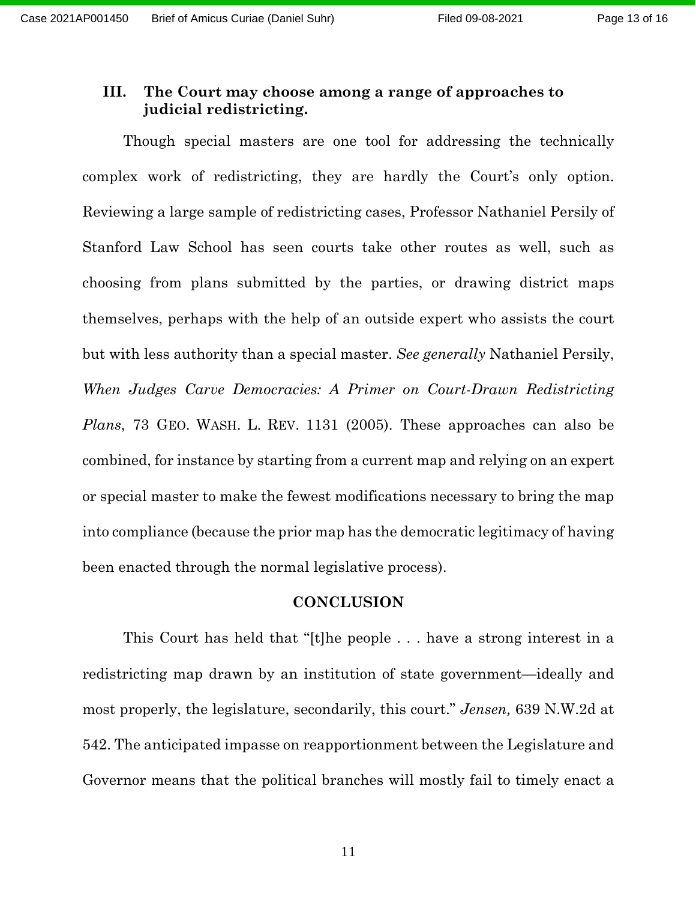#### **III. The Court may choose among a range of approaches to judicial redistricting.**

Though special masters are one tool for addressing the technically complex work of redistricting, they are hardly the Court's only option. Reviewing a large sample of redistricting cases, Professor Nathaniel Persily of Stanford Law School has seen courts take other routes as well, such as choosing from plans submitted by the parties, or drawing district maps themselves, perhaps with the help of an outside expert who assists the court but with less authority than a special master. *See generally* Nathaniel Persily, *When Judges Carve Democracies: A Primer on Court-Drawn Redistricting Plans*, 73 GEO. WASH. L. REV. 1131 (2005). These approaches can also be combined, for instance by starting from a current map and relying on an expert or special master to make the fewest modifications necessary to bring the map into compliance (because the prior map has the democratic legitimacy of having been enacted through the normal legislative process).

#### **CONCLUSION**

This Court has held that "[t]he people . . . have a strong interest in a redistricting map drawn by an institution of state government—ideally and most properly, the legislature, secondarily, this court." *Jensen,* 639 N.W.2d at 542. The anticipated impasse on reapportionment between the Legislature and Governor means that the political branches will mostly fail to timely enact a

11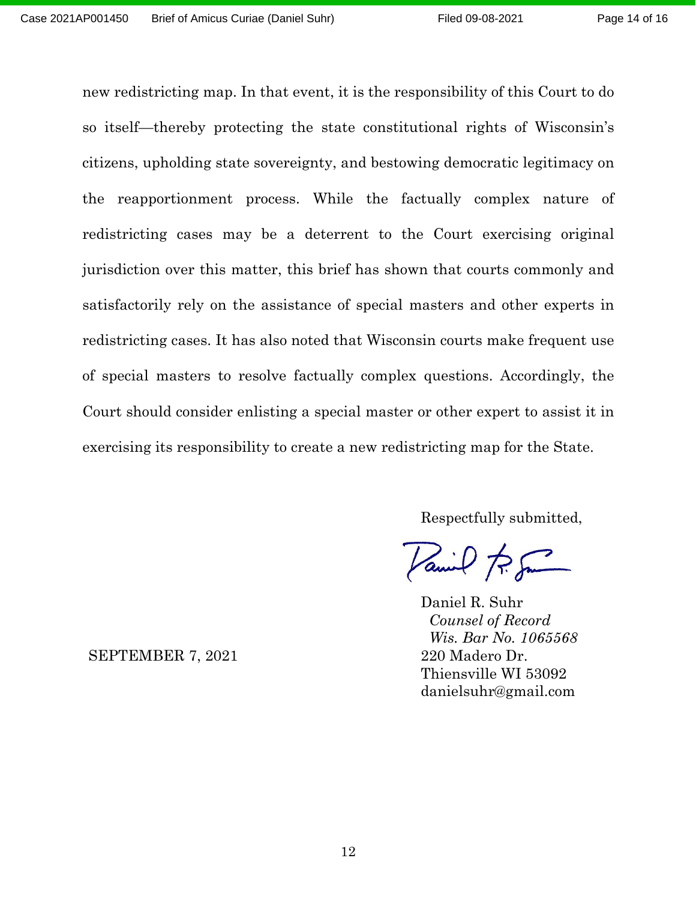new redistricting map. In that event, it is the responsibility of this Court to do so itself—thereby protecting the state constitutional rights of Wisconsin's citizens, upholding state sovereignty, and bestowing democratic legitimacy on the reapportionment process. While the factually complex nature of redistricting cases may be a deterrent to the Court exercising original jurisdiction over this matter, this brief has shown that courts commonly and satisfactorily rely on the assistance of special masters and other experts in redistricting cases. It has also noted that Wisconsin courts make frequent use of special masters to resolve factually complex questions. Accordingly, the Court should consider enlisting a special master or other expert to assist it in exercising its responsibility to create a new redistricting map for the State.

Respectfully submitted,

Vanil R.m

Daniel R. Suhr *Counsel of Record Wis. Bar No. 1065568* 220 Madero Dr. Thiensville WI 53092 danielsuhr@gmail.com

SEPTEMBER 7, 2021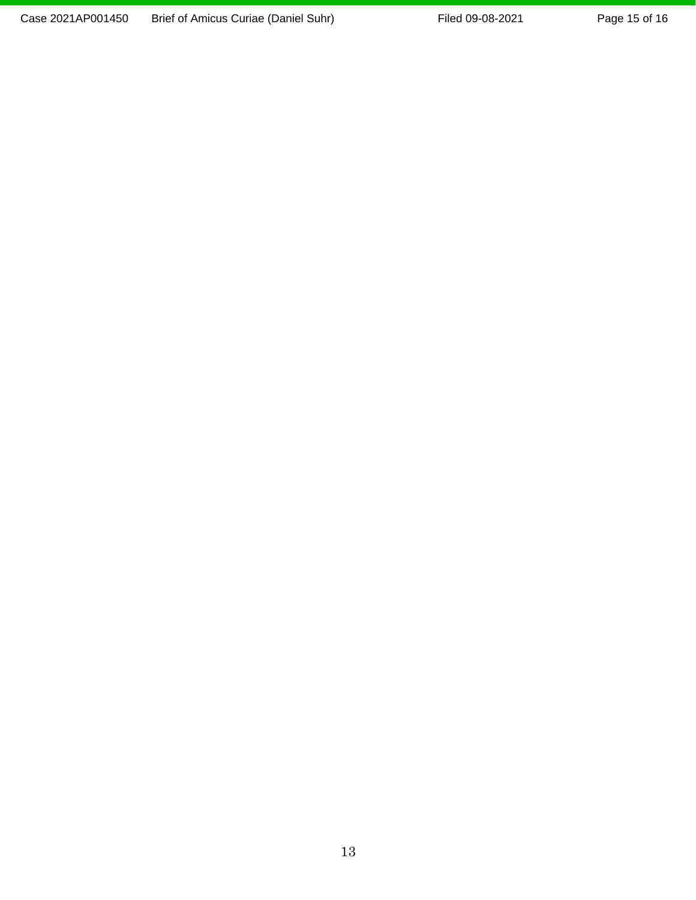Page 15 of 16